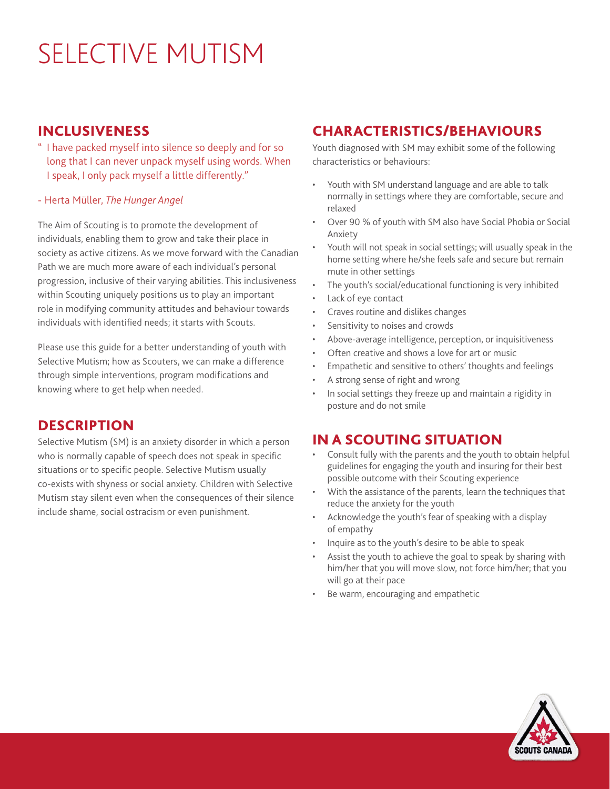# SELECTIVE MUTISM

#### INCLUSIVENESS

- " I have packed myself into silence so deeply and for so long that I can never unpack myself using words. When I speak, I only pack myself a little differently."
- Herta Müller, *The Hunger Angel*

The Aim of Scouting is to promote the development of individuals, enabling them to grow and take their place in society as active citizens. As we move forward with the Canadian Path we are much more aware of each individual's personal progression, inclusive of their varying abilities. This inclusiveness within Scouting uniquely positions us to play an important role in modifying community attitudes and behaviour towards individuals with identified needs; it starts with Scouts.

Please use this guide for a better understanding of youth with Selective Mutism; how as Scouters, we can make a difference through simple interventions, program modifications and knowing where to get help when needed.

## **DESCRIPTION**

Selective Mutism (SM) is an anxiety disorder in which a person who is normally capable of speech does not speak in specific situations or to specific people. Selective Mutism usually co-exists with shyness or social anxiety. Children with Selective Mutism stay silent even when the consequences of their silence include shame, social ostracism or even punishment.

## CHARACTERISTICS/BEHAVIOURS

Youth diagnosed with SM may exhibit some of the following characteristics or behaviours:

- Youth with SM understand language and are able to talk normally in settings where they are comfortable, secure and relaxed
- Over 90 % of youth with SM also have Social Phobia or Social Anxiety
- Youth will not speak in social settings; will usually speak in the home setting where he/she feels safe and secure but remain mute in other settings
- The youth's social/educational functioning is very inhibited
- Lack of eye contact
- Craves routine and dislikes changes
- Sensitivity to noises and crowds
- Above-average intelligence, perception, or inquisitiveness
- Often creative and shows a love for art or music
- Empathetic and sensitive to others' thoughts and feelings
- A strong sense of right and wrong
- In social settings they freeze up and maintain a rigidity in posture and do not smile

## IN A SCOUTING SITUATION

- Consult fully with the parents and the youth to obtain helpful guidelines for engaging the youth and insuring for their best possible outcome with their Scouting experience
- With the assistance of the parents, learn the techniques that reduce the anxiety for the youth
- Acknowledge the youth's fear of speaking with a display of empathy
- Inquire as to the youth's desire to be able to speak
- Assist the youth to achieve the goal to speak by sharing with him/her that you will move slow, not force him/her; that you will go at their pace
- Be warm, encouraging and empathetic